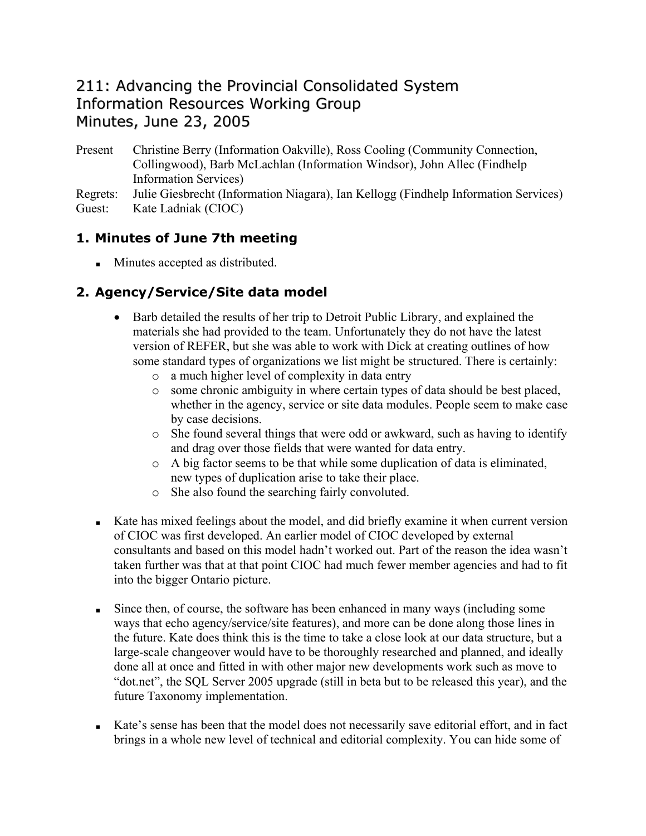## 211: Advancing the Provincial Consolidated System Information Resources Working Group Minutes, June 23, 2005

Present Christine Berry (Information Oakville), Ross Cooling (Community Connection, Collingwood), Barb McLachlan (Information Windsor), John Allec (Findhelp Information Services)

Regrets: Julie Giesbrecht (Information Niagara), Ian Kellogg (Findhelp Information Services) Guest: Kate Ladniak (CIOC)

## **1. Minutes of June 7th meeting**

**Minutes accepted as distributed.** 

## **2. Agency/Service/Site data model**

- Barb detailed the results of her trip to Detroit Public Library, and explained the materials she had provided to the team. Unfortunately they do not have the latest version of REFER, but she was able to work with Dick at creating outlines of how some standard types of organizations we list might be structured. There is certainly:
	- o a much higher level of complexity in data entry
	- o some chronic ambiguity in where certain types of data should be best placed, whether in the agency, service or site data modules. People seem to make case by case decisions.
	- o She found several things that were odd or awkward, such as having to identify and drag over those fields that were wanted for data entry.
	- o A big factor seems to be that while some duplication of data is eliminated, new types of duplication arise to take their place.
	- o She also found the searching fairly convoluted.
- Kate has mixed feelings about the model, and did briefly examine it when current version of CIOC was first developed. An earlier model of CIOC developed by external consultants and based on this model hadn't worked out. Part of the reason the idea wasn't taken further was that at that point CIOC had much fewer member agencies and had to fit into the bigger Ontario picture.
- Since then, of course, the software has been enhanced in many ways (including some ways that echo agency/service/site features), and more can be done along those lines in the future. Kate does think this is the time to take a close look at our data structure, but a large-scale changeover would have to be thoroughly researched and planned, and ideally done all at once and fitted in with other major new developments work such as move to "dot.net", the SQL Server 2005 upgrade (still in beta but to be released this year), and the future Taxonomy implementation.
- Kate's sense has been that the model does not necessarily save editorial effort, and in fact brings in a whole new level of technical and editorial complexity. You can hide some of